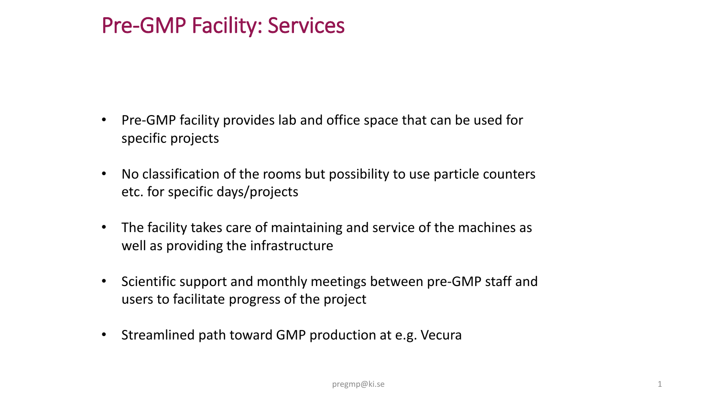## Pre-GMP Facility: Services

- Pre-GMP facility provides lab and office space that can be used for specific projects
- No classification of the rooms but possibility to use particle counters etc. for specific days/projects
- The facility takes care of maintaining and service of the machines as well as providing the infrastructure
- Scientific support and monthly meetings between pre-GMP staff and users to facilitate progress of the project
- Streamlined path toward GMP production at e.g. Vecura